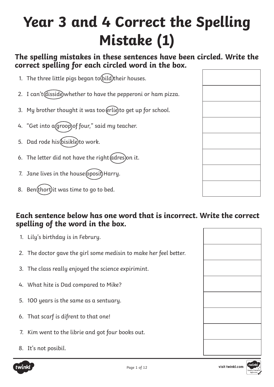# **Year 3 and 4 Correct the Spelling Mistake (1)**

### **The spelling mistakes in these sentences have been circled. Write the correct spelling for each circled word in the box.**

- 1. The three little pigs began to  $\text{ (bild)}$ their houses.
- 2. I can't (disside) whether to have the pepperoni or ham pizza.
- 3. My brother thought it was too erlie to get up for school.
- 4. "Get into a groop of four," said my teacher.
- 5. Dad rode his bisikle to work.
- 6. The letter did not have the right  $(address)$ on it.
- 7. Jane lives in the house (oposit) Harry.
- 8. Ben(thort) it was time to go to bed.

- 1. Lily's birthday is in Februry.
- 2. The doctor gave the girl some medisin to make her feel better.
- 3. The class really enjoyed the science expirimint.
- 4. What hite is Dad compared to Mike?
- 5. 100 years is the same as a sentuary.
- 6. That scarf is difrent to that one!
- 7. Kim went to the librie and got four books out.
- 8. It's not posibil.

| twinkl |  |
|--------|--|
|        |  |





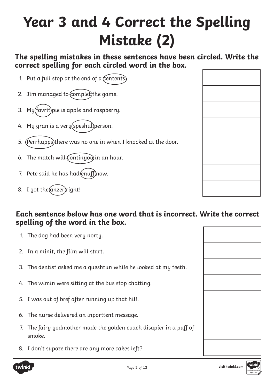# **Year 3 and 4 Correct the Spelling Mistake (2)**

### **The spelling mistakes in these sentences have been circled. Write the correct spelling for each circled word in the box.**

- 1. Put a full stop at the end of a  $C$ entents.
- 2. Jim managed to complet) the game.
- 3. My $(favrit)$ pie is apple and raspberry.
- 4. My gran is a very (speshul) person.
- 5. (Perrhapps)there was no one in when I knocked at the door.
- 6. The match will continyou in an hour.
- 7. Pete said he has  $had$ (enuff) now.
- 8. I got the (anzer) right!

- 1. The dog had been very norty.
- 2. In a minit, the film will start.
- 3. The dentist asked me a queshtun while he looked at my teeth.
- 4. The wimin were sitting at the bus stop chatting.
- 5. I was out of bref after running up that hill.
- 6. The nurse delivered an inporttent message.
- 7. The fairy godmother made the golden coach disapier in a puff of smoke.
- 8. I don't supoze there are any more cakes left?



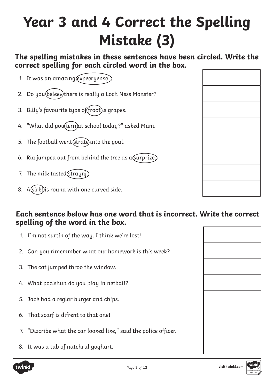# **Year 3 and 4 Correct the Spelling Mistake (3)**

### **The spelling mistakes in these sentences have been circled. Write the correct spelling for each circled word in the box.**

- 1. It was an amazing (expeeryense!)
- 2. Do you (beleev) there is really a Loch Ness Monster?
- 3. Billy's favourite type of (froot) is grapes.
- 4. "What did you(lern) at school today?" asked Mum.
- 5. The football went (strate) into the goal!
- 6. Ria jumped out from behind the tree as a surprize.)
- 7. The milk tasted (strayn).
- 8. A (sirkl) is round with one curved side.

- 1. I'm not surtin of the way. I think we're lost!
- 2. Can you rimemmber what our homework is this week?
- 3. The cat jumped throo the window.
- 4. What pozishun do you play in netball?
- 5. Jack had a reglar burger and chips.
- 6. That scarf is difrent to that one!
- 7. "Dizcribe what the car looked like," said the police officer.
- 8. It was a tub of natchrul yoghurt.



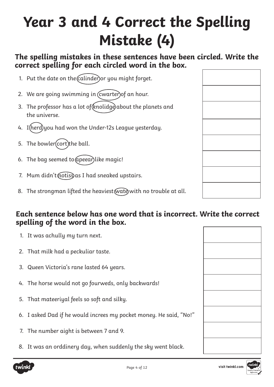# **Year 3 and 4 Correct the Spelling Mistake (4)**

### **The spelling mistakes in these sentences have been circled. Write the correct spelling for each circled word in the box.**

- 1. Put the date on the calinder or you might forget.
- 2. We are going swimming in (cwarter) of an hour.
- 3. The professor has a lot of (knolidge) about the planets and the universe.
- 4. I (herd) you had won the Under-12s League yesterday.
- 5. The bowler (cort) the ball.
- 6. The bag seemed to  $\alpha$  peear) like magic!
- 7. Mum didn't (notiss) as I had sneaked upstairs.
- 8. The strongman lifted the heaviest (wate with no trouble at all.

#### **Each sentence below has one word that is incorrect. Write the correct spelling of the word in the box.**

- 1. It was achully my turn next.
- 2. That milk had a peckuliar taste.
- 3. Queen Victoria's rane lasted 64 years.
- 4. The horse would not go fourweds, only backwards!
- 5. That mateeriyal feels so soft and silky.
- 6. I asked Dad if he would increes my pocket money. He said, "No!"
- 7. The number aight is between 7 and 9.
- 8. It was an orddinery day, when suddenly the sky went black.





visit twinkl.com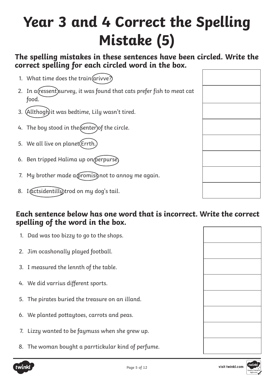# **Year 3 and 4 Correct the Spelling Mistake (5)**

### **The spelling mistakes in these sentences have been circled. Write the correct spelling for each circled word in the box.**

- 1. What time does the train  $\alpha$  ivve?
- 2. In a (ressent) survey, it was found that cats prefer fish to meat cat food.
- 3. (Allthogh) it was bedtime, Lily wasn't tired.
- 4. The boy stood in the (senter) of the circle.
- 5. We all live on planet (Errth.
- 6. Ben tripped Halima up on (perpurse)
- 7. My brother made a promiss not to annoy me again.
- 8. I actsidentilly trod on my dog's tail.

- 1. Dad was too bizzy to go to the shops.
- 2. Jim ocashonally played football.
- 3. I measured the lennth of the table.
- 4. We did varrius different sports.
- 5. The pirates buried the treasure on an illand.
- 6. We planted pottaytoes, carrots and peas.
- 7. Lizzy wanted to be faymuss when she grew up.
- 8. The woman bought a parrtickular kind of perfume.



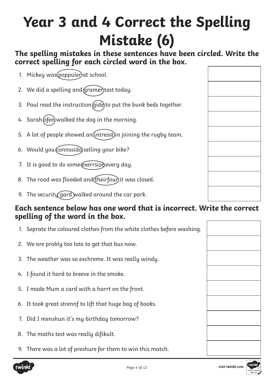# **Year 3 and 4 Correct the Spelling Mistake (6)**

### **The spelling mistakes in these sentences have been circled. Write the correct spelling for each circled word in the box.**

- 1. Mickey was poppuler) at school.
- 2. We did a spelling and *(gramer)* test today.
- 3. Paul read the instruction  $\int \left(\frac{d}{dt}\right)$  to put the bunk beds together.
- 4. Sarah (ofen) walked the dog in the morning.
- 5. A lot of people showed an  $(intress)$  in joining the rugby team.
- 6. Would you connssida selling your bike?
- 7. It is good to do some@exerrsize every day.
- 8. The road was flooded and (theirfour) it was closed.
- 9. The security gard walked around the car park.

- 1. Seprate the coloured clothes from the white clothes before washing.
- 2. We are probly too late to get that bus now.
- 3. The weather was so exchreme. It was really windy.
- 4. I found it hard to breeve in the smoke.
- 5. I made Mum a card with a harrt on the front.
- 6. It took great strennf to lift that huge bag of books.
- 7. Did I menshun it's my birthday tomorrow?
- 8. The maths test was really difikult.
- 9. There was a lot of preshure for them to win this match.



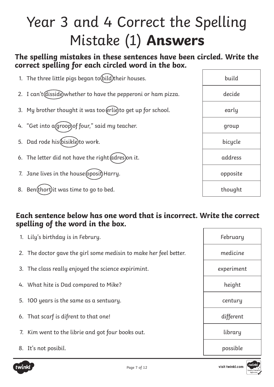# Year 3 and 4 Correct the Spelling Mistake (1) **Answers**

# **The spelling mistakes in these sentences have been circled. Write the correct spelling for each circled word in the box.**

| 1. The three little pigs began to (bild)their houses.            | build    |
|------------------------------------------------------------------|----------|
| 2. I can't (disside) whether to have the pepperoni or ham pizza. | decide   |
| 3. My brother thought it was too (erlie) to get up for school.   | early    |
| 4. "Get into a groop) of four," said my teacher.                 | group    |
| 5. Dad rode his (bisikle) to work.                               | bicycle  |
| 6. The letter did not have the right (adres) on it.              | address  |
| 7. Jane lives in the house (oposit) Harry.                       | opposite |
| 8. Ben(thort) it was time to go to bed.                          | thought  |

| 1. Lily's birthday is in Februry.                                 | February   |
|-------------------------------------------------------------------|------------|
| 2. The doctor gave the girl some medisin to make her feel better. | medicine   |
| 3. The class really enjoyed the science expirimint.               | experiment |
| 4. What hite is Dad compared to Mike?                             | height     |
| 5. 100 years is the same as a sentuary.                           | century    |
| 6. That scarf is difrent to that one!                             | different  |
| 7. Kim went to the librie and got four books out.                 | library    |
| 8. It's not posibil.                                              | possible   |

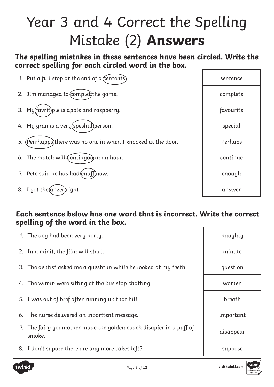# Year 3 and 4 Correct the Spelling Mistake (2) **Answers**

## **The spelling mistakes in these sentences have been circled. Write the correct spelling for each circled word in the box.**

| 1. Put a full stop at the end of a $($ entents $)$               | sentence  |
|------------------------------------------------------------------|-----------|
| 2. Jim managed to (complet) the game.                            | complete  |
| 3. My(favrit)pie is apple and raspberry.                         | favourite |
| 4. My gran is a very (speshul) person.                           | special   |
| (Perrhapps)there was no one in when I knocked at the door.<br>5. | Perhaps   |
| 6. The match will continyou in an hour.                          | continue  |
| 7. Pete said he has had (enuff)now.                              | enough    |
| 8. I got the (anzer) right!                                      | answer    |

| 1. The dog had been very norty.                                              | naughty   |
|------------------------------------------------------------------------------|-----------|
| 2. In a minit, the film will start.                                          | minute    |
| 3. The dentist asked me a queshtun while he looked at my teeth.              | question  |
| 4. The wimin were sitting at the bus stop chatting.                          | women     |
| 5. I was out of bref after running up that hill.                             | breath    |
| 6. The nurse delivered an inporttent message.                                | important |
| 7. The fairy godmother made the golden coach disapier in a puff of<br>smoke. | disappear |
| 8. I don't supoze there are any more cakes left?                             | suppose   |

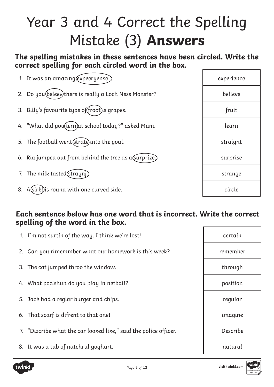# Year 3 and 4 Correct the Spelling Mistake (3) **Answers**

# **The spelling mistakes in these sentences have been circled. Write the correct spelling for each circled word in the box.**

| 1. It was an amazing (expeeryense!)                     | experience |
|---------------------------------------------------------|------------|
| 2. Do you (beleev) there is really a Loch Ness Monster? | believe    |
| 3. Billy's favourite type of(froot)is grapes.           | fruit      |
| 4. "What did you(lern) at school today?" asked Mum.     | learn      |
| 5. The football went (strate) into the goal!            | straight   |
| 6. Ria jumped out from behind the tree as a surprize.)  | surprise   |
| 7. The milk tasted (strayn).                            | strange    |
| 8. A (sirkl) is round with one curved side.             | circle     |

### **Each sentence below has one word that is incorrect. Write the correct spelling of the word in the box.**

| 1. I'm not surtin of the way. I think we're lost!                | certain  |
|------------------------------------------------------------------|----------|
| 2. Can you rimemmber what our homework is this week?             | remember |
| 3. The cat jumped throo the window.                              | through  |
| 4. What pozishun do you play in netball?                         | position |
| 5. Jack had a reglar burger and chips.                           | regular  |
| 6. That scarf is difrent to that one!                            | imagine  |
| 7. "Dizcribe what the car looked like," said the police officer. | Describe |
| 8. It was a tub of natchrul yoghurt.                             | natural  |

twink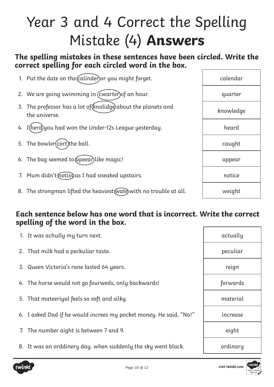# Year 3 and 4 Correct the Spelling Mistake (4) **Answers**

# **The spelling mistakes in these sentences have been circled. Write the correct spelling for each circled word in the box.**

| 1. Put the date on the calinder) or you might forget.                           | calendar  |
|---------------------------------------------------------------------------------|-----------|
| 2. We are going swimming in (cwarter) of an hour.                               | quarter   |
| 3. The professor has a lot of (knolidge) about the planets and<br>the universe. | knowledge |
| 4. I (herd) you had won the Under-12s League yesterday.                         | heard     |
| 5. The bowler(cort)the ball.                                                    | caught    |
| 6. The bag seemed to (apeear) like magic!                                       | appear    |
| 7. Mum didn't motiss as I had sneaked upstairs.                                 | notice    |
| 8. The strongman lifted the heaviest (wate with no trouble at all.              | weight    |

| 1. It was achully my turn next.                                    | actually |
|--------------------------------------------------------------------|----------|
| 2. That milk had a peckuliar taste.                                | peculiar |
| 3. Queen Victoria's rane lasted 64 years.                          | reign    |
| 4. The horse would not go fourweds, only backwards!                | forwards |
| 5. That mateeriyal feels so soft and silky.                        | material |
| 6. I asked Dad if he would increes my pocket money. He said, "No!" | increase |
| 7. The number aight is between 7 and 9.                            | eight    |
| 8. It was an orddinery day, when suddenly the sky went black.      | ordinary |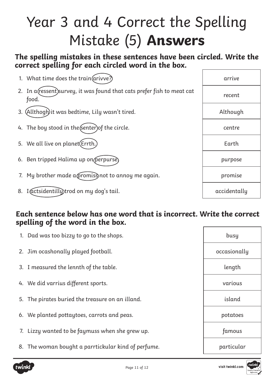# Year 3 and 4 Correct the Spelling Mistake (5) **Answers**

# **The spelling mistakes in these sentences have been circled. Write the correct spelling for each circled word in the box.**

| 1. What time does the train (arivve?)            |                                                                          | arrive       |
|--------------------------------------------------|--------------------------------------------------------------------------|--------------|
| food.                                            | 2. In a (ressent) survey, it was found that cats prefer fish to meat cat | recent       |
| 3. (Allthogh) it was bedtime, Lily wasn't tired. |                                                                          | Although     |
| 4. The boy stood in the (senter) of the circle.  |                                                                          | centre       |
| 5. We all live on planet(Errth.)                 |                                                                          | Earth        |
| 6. Ben tripped Halima up on (perpurse)           |                                                                          | purpose      |
|                                                  | 7. My brother made a promiss not to annoy me again.                      | promise      |
| I@ctsidentillytrod on my dog's tail.<br>8.       |                                                                          | accidentally |

| 1. Dad was too bizzy to go to the shops.            | busy         |
|-----------------------------------------------------|--------------|
| 2. Jim ocashonally played football.                 | occasionally |
| 3. I measured the lennth of the table.              | length       |
| 4. We did varrius different sports.                 | various      |
| 5. The pirates buried the treasure on an illand.    | island       |
| 6. We planted pottaytoes, carrots and peas.         | potatoes     |
| 7. Lizzy wanted to be faymuss when she grew up.     | famous       |
| 8. The woman bought a parrtickular kind of perfume. | particular   |